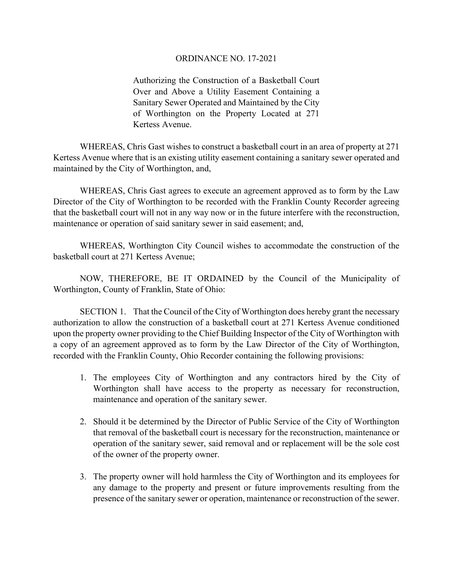## ORDINANCE NO. 17-2021

Authorizing the Construction of a Basketball Court Over and Above a Utility Easement Containing a Sanitary Sewer Operated and Maintained by the City of Worthington on the Property Located at 271 Kertess Avenue.

 WHEREAS, Chris Gast wishes to construct a basketball court in an area of property at 271 Kertess Avenue where that is an existing utility easement containing a sanitary sewer operated and maintained by the City of Worthington, and,

 WHEREAS, Chris Gast agrees to execute an agreement approved as to form by the Law Director of the City of Worthington to be recorded with the Franklin County Recorder agreeing that the basketball court will not in any way now or in the future interfere with the reconstruction, maintenance or operation of said sanitary sewer in said easement; and,

WHEREAS, Worthington City Council wishes to accommodate the construction of the basketball court at 271 Kertess Avenue;

NOW, THEREFORE, BE IT ORDAINED by the Council of the Municipality of Worthington, County of Franklin, State of Ohio:

SECTION 1. That the Council of the City of Worthington does hereby grant the necessary authorization to allow the construction of a basketball court at 271 Kertess Avenue conditioned upon the property owner providing to the Chief Building Inspector of the City of Worthington with a copy of an agreement approved as to form by the Law Director of the City of Worthington, recorded with the Franklin County, Ohio Recorder containing the following provisions:

- 1. The employees City of Worthington and any contractors hired by the City of Worthington shall have access to the property as necessary for reconstruction, maintenance and operation of the sanitary sewer.
- 2. Should it be determined by the Director of Public Service of the City of Worthington that removal of the basketball court is necessary for the reconstruction, maintenance or operation of the sanitary sewer, said removal and or replacement will be the sole cost of the owner of the property owner.
- 3. The property owner will hold harmless the City of Worthington and its employees for any damage to the property and present or future improvements resulting from the presence of the sanitary sewer or operation, maintenance or reconstruction of the sewer.